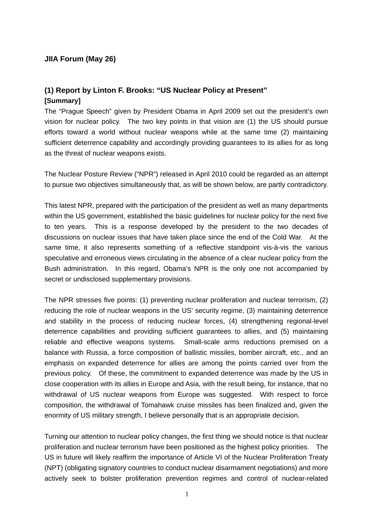### **JIIA Forum (May 26)**

# **(1) Report by Linton F. Brooks: "US Nuclear Policy at Present" [Summary]**

The "Prague Speech" given by President Obama in April 2009 set out the president's own vision for nuclear policy. The two key points in that vision are (1) the US should pursue efforts toward a world without nuclear weapons while at the same time (2) maintaining sufficient deterrence capability and accordingly providing guarantees to its allies for as long as the threat of nuclear weapons exists.

The Nuclear Posture Review ("NPR") released in April 2010 could be regarded as an attempt to pursue two objectives simultaneously that, as will be shown below, are partly contradictory.

This latest NPR, prepared with the participation of the president as well as many departments within the US government, established the basic guidelines for nuclear policy for the next five to ten years. This is a response developed by the president to the two decades of discussions on nuclear issues that have taken place since the end of the Cold War. At the same time, it also represents something of a reflective standpoint vis-à-vis the various speculative and erroneous views circulating in the absence of a clear nuclear policy from the Bush administration. In this regard, Obama's NPR is the only one not accompanied by secret or undisclosed supplementary provisions.

The NPR stresses five points: (1) preventing nuclear proliferation and nuclear terrorism, (2) reducing the role of nuclear weapons in the US' security regime, (3) maintaining deterrence and stability in the process of reducing nuclear forces, (4) strengthening regional-level deterrence capabilities and providing sufficient guarantees to allies, and (5) maintaining reliable and effective weapons systems. Small-scale arms reductions premised on a balance with Russia, a force composition of ballistic missiles, bomber aircraft, etc., and an emphasis on expanded deterrence for allies are among the points carried over from the previous policy. Of these, the commitment to expanded deterrence was made by the US in close cooperation with its allies in Europe and Asia, with the result being, for instance, that no withdrawal of US nuclear weapons from Europe was suggested. With respect to force composition, the withdrawal of Tomahawk cruise missiles has been finalized and, given the enormity of US military strength, I believe personally that is an appropriate decision.

Turning our attention to nuclear policy changes, the first thing we should notice is that nuclear proliferation and nuclear terrorism have been positioned as the highest policy priorities. The US in future will likely reaffirm the importance of Article VI of the Nuclear Proliferation Treaty (NPT) (obligating signatory countries to conduct nuclear disarmament negotiations) and more actively seek to bolster proliferation prevention regimes and control of nuclear-related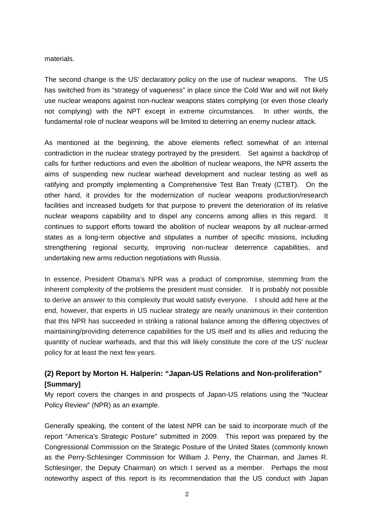#### materials.

The second change is the US' declaratory policy on the use of nuclear weapons. The US has switched from its "strategy of vagueness" in place since the Cold War and will not likely use nuclear weapons against non-nuclear weapons states complying (or even those clearly not complying) with the NPT except in extreme circumstances. In other words, the fundamental role of nuclear weapons will be limited to deterring an enemy nuclear attack.

As mentioned at the beginning, the above elements reflect somewhat of an internal contradiction in the nuclear strategy portrayed by the president. Set against a backdrop of calls for further reductions and even the abolition of nuclear weapons, the NPR asserts the aims of suspending new nuclear warhead development and nuclear testing as well as ratifying and promptly implementing a Comprehensive Test Ban Treaty (CTBT). On the other hand, it provides for the modernization of nuclear weapons production/research facilities and increased budgets for that purpose to prevent the deterioration of its relative nuclear weapons capability and to dispel any concerns among allies in this regard. It continues to support efforts toward the abolition of nuclear weapons by all nuclear-armed states as a long-term objective and stipulates a number of specific missions, including strengthening regional security, improving non-nuclear deterrence capabilities, and undertaking new arms reduction negotiations with Russia.

In essence, President Obama's NPR was a product of compromise, stemming from the inherent complexity of the problems the president must consider. It is probably not possible to derive an answer to this complexity that would satisfy everyone. I should add here at the end, however, that experts in US nuclear strategy are nearly unanimous in their contention that this NPR has succeeded in striking a rational balance among the differing objectives of maintaining/providing deterrence capabilities for the US itself and its allies and reducing the quantity of nuclear warheads, and that this will likely constitute the core of the US' nuclear policy for at least the next few years.

## **(2) Report by Morton H. Halperin: "Japan-US Relations and Non-proliferation" [Summary]**

My report covers the changes in and prospects of Japan-US relations using the "Nuclear Policy Review" (NPR) as an example.

Generally speaking, the content of the latest NPR can be said to incorporate much of the report "America's Strategic Posture" submitted in 2009. This report was prepared by the Congressional Commission on the Strategic Posture of the United States (commonly known as the Perry-Schlesinger Commission for William J. Perry, the Chairman, and James R. Schlesinger, the Deputy Chairman) on which I served as a member. Perhaps the most noteworthy aspect of this report is its recommendation that the US conduct with Japan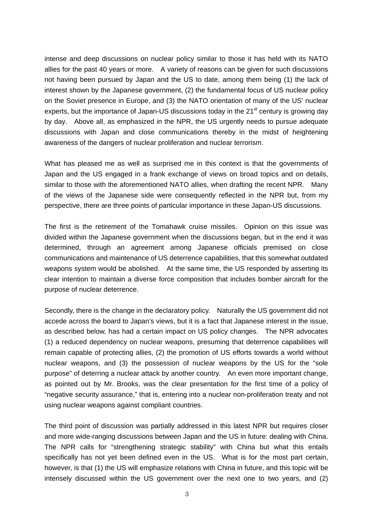intense and deep discussions on nuclear policy similar to those it has held with its NATO allies for the past 40 years or more. A variety of reasons can be given for such discussions not having been pursued by Japan and the US to date, among them being (1) the lack of interest shown by the Japanese government, (2) the fundamental focus of US nuclear policy on the Soviet presence in Europe, and (3) the NATO orientation of many of the US' nuclear experts, but the importance of Japan-US discussions today in the 21<sup>st</sup> century is growing day by day. Above all, as emphasized in the NPR, the US urgently needs to pursue adequate discussions with Japan and close communications thereby in the midst of heightening awareness of the dangers of nuclear proliferation and nuclear terrorism.

What has pleased me as well as surprised me in this context is that the governments of Japan and the US engaged in a frank exchange of views on broad topics and on details, similar to those with the aforementioned NATO allies, when drafting the recent NPR. Many of the views of the Japanese side were consequently reflected in the NPR but, from my perspective, there are three points of particular importance in these Japan-US discussions.

The first is the retirement of the Tomahawk cruise missiles. Opinion on this issue was divided within the Japanese government when the discussions began, but in the end it was determined, through an agreement among Japanese officials premised on close communications and maintenance of US deterrence capabilities, that this somewhat outdated weapons system would be abolished. At the same time, the US responded by asserting its clear intention to maintain a diverse force composition that includes bomber aircraft for the purpose of nuclear deterrence.

Secondly, there is the change in the declaratory policy. Naturally the US government did not accede across the board to Japan's views, but it is a fact that Japanese interest in the issue, as described below, has had a certain impact on US policy changes. The NPR advocates (1) a reduced dependency on nuclear weapons, presuming that deterrence capabilities will remain capable of protecting allies, (2) the promotion of US efforts towards a world without nuclear weapons, and (3) the possession of nuclear weapons by the US for the "sole purpose" of deterring a nuclear attack by another country. An even more important change, as pointed out by Mr. Brooks, was the clear presentation for the first time of a policy of "negative security assurance," that is, entering into a nuclear non-proliferation treaty and not using nuclear weapons against compliant countries.

The third point of discussion was partially addressed in this latest NPR but requires closer and more wide-ranging discussions between Japan and the US in future: dealing with China. The NPR calls for "strengthening strategic stability" with China but what this entails specifically has not yet been defined even in the US. What is for the most part certain, however, is that (1) the US will emphasize relations with China in future, and this topic will be intensely discussed within the US government over the next one to two years, and (2)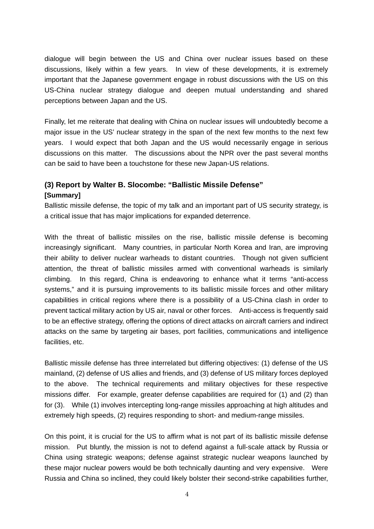dialogue will begin between the US and China over nuclear issues based on these discussions, likely within a few years. In view of these developments, it is extremely important that the Japanese government engage in robust discussions with the US on this US-China nuclear strategy dialogue and deepen mutual understanding and shared perceptions between Japan and the US.

Finally, let me reiterate that dealing with China on nuclear issues will undoubtedly become a major issue in the US' nuclear strategy in the span of the next few months to the next few years. I would expect that both Japan and the US would necessarily engage in serious discussions on this matter. The discussions about the NPR over the past several months can be said to have been a touchstone for these new Japan-US relations.

### **(3) Report by Walter B. Slocombe: "Ballistic Missile Defense"**

#### **[Summary]**

Ballistic missile defense, the topic of my talk and an important part of US security strategy, is a critical issue that has major implications for expanded deterrence.

With the threat of ballistic missiles on the rise, ballistic missile defense is becoming increasingly significant. Many countries, in particular North Korea and Iran, are improving their ability to deliver nuclear warheads to distant countries. Though not given sufficient attention, the threat of ballistic missiles armed with conventional warheads is similarly climbing. In this regard, China is endeavoring to enhance what it terms "anti-access systems," and it is pursuing improvements to its ballistic missile forces and other military capabilities in critical regions where there is a possibility of a US-China clash in order to prevent tactical military action by US air, naval or other forces. Anti-access is frequently said to be an effective strategy, offering the options of direct attacks on aircraft carriers and indirect attacks on the same by targeting air bases, port facilities, communications and intelligence facilities, etc.

Ballistic missile defense has three interrelated but differing objectives: (1) defense of the US mainland, (2) defense of US allies and friends, and (3) defense of US military forces deployed to the above. The technical requirements and military objectives for these respective missions differ. For example, greater defense capabilities are required for (1) and (2) than for (3). While (1) involves intercepting long-range missiles approaching at high altitudes and extremely high speeds, (2) requires responding to short- and medium-range missiles.

On this point, it is crucial for the US to affirm what is not part of its ballistic missile defense mission. Put bluntly, the mission is not to defend against a full-scale attack by Russia or China using strategic weapons; defense against strategic nuclear weapons launched by these major nuclear powers would be both technically daunting and very expensive. Were Russia and China so inclined, they could likely bolster their second-strike capabilities further,